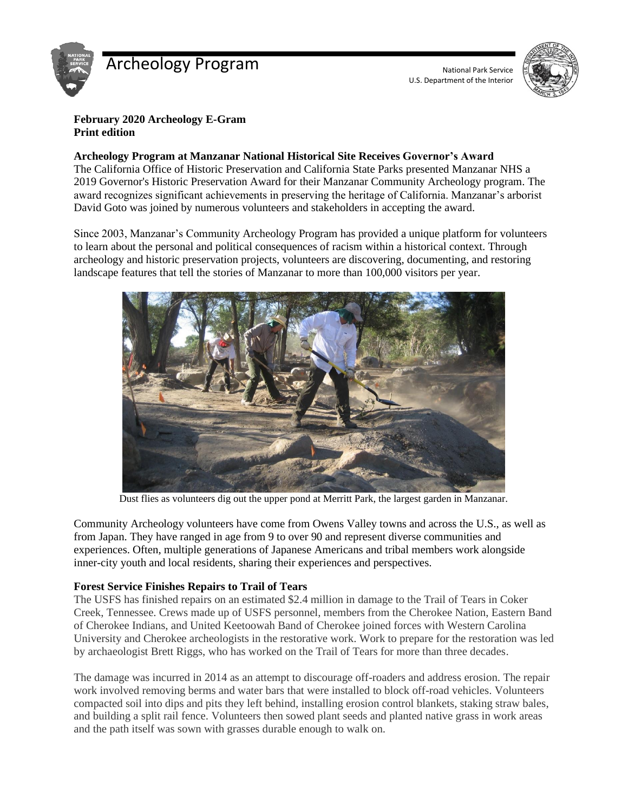



## **February 2020 Archeology E-Gram Print edition**

#### **Archeology Program at Manzanar National Historical Site Receives Governor's Award**

The California Office of Historic Preservation and California State Parks presented Manzanar NHS a 2019 Governor's Historic Preservation Award for their Manzanar Community Archeology program. The award recognizes significant achievements in preserving the heritage of California. Manzanar's arborist David Goto was joined by numerous volunteers and stakeholders in accepting the award.

Since 2003, Manzanar's Community Archeology Program has provided a unique platform for volunteers to learn about the personal and political consequences of racism within a historical context. Through archeology and historic preservation projects, volunteers are discovering, documenting, and restoring landscape features that tell the stories of Manzanar to more than 100,000 visitors per year.



Dust flies as volunteers dig out the upper pond at Merritt Park, the largest garden in Manzanar.

Community Archeology volunteers have come from Owens Valley towns and across the U.S., as well as from Japan. They have ranged in age from 9 to over 90 and represent diverse communities and experiences. Often, multiple generations of Japanese Americans and tribal members work alongside inner-city youth and local residents, sharing their experiences and perspectives.

### **Forest Service Finishes Repairs to Trail of Tears**

The USFS has finished repairs on an estimated \$2.4 million in damage to the Trail of Tears in Coker Creek, Tennessee. Crews made up of USFS personnel, members from the Cherokee Nation, Eastern Band of Cherokee Indians, and United Keetoowah Band of Cherokee joined forces with Western Carolina University and Cherokee archeologists in the restorative work. Work to prepare for the restoration was led by archaeologist Brett Riggs, who has worked on the Trail of Tears for more than three decades.

The damage was incurred in 2014 as an attempt to discourage off-roaders and address erosion. The repair work involved removing berms and water bars that were installed to block off-road vehicles. Volunteers compacted soil into dips and pits they left behind, installing erosion control blankets, staking straw bales, and building a split rail fence. Volunteers then sowed plant seeds and planted native grass in work areas and the path itself was sown with grasses durable enough to walk on.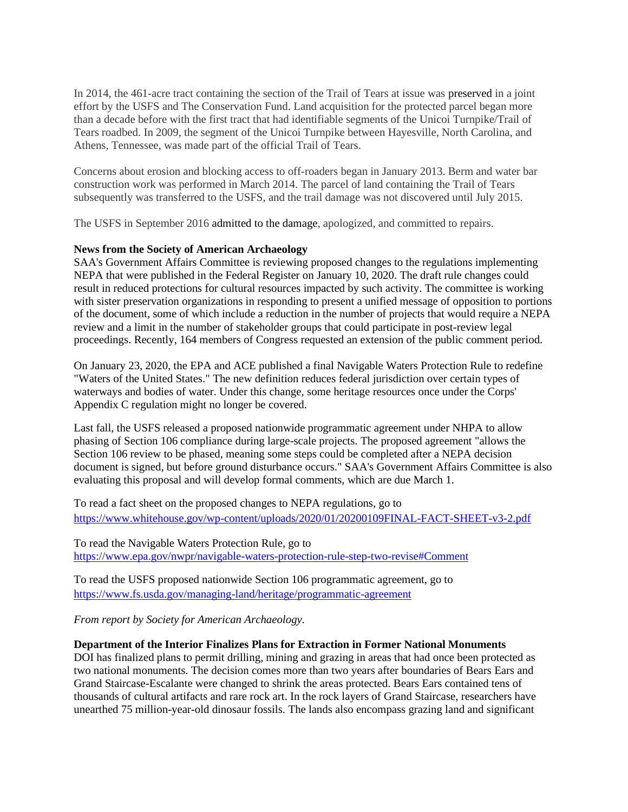In 2014, the 461-acre tract containing the section of the Trail of Tears at issue was preserved in a joint effort by the USFS and The Conservation Fund. Land acquisition for the protected parcel began more than a decade before with the first tract that had identifiable segments of the Unicoi Turnpike/Trail of Tears roadbed. In 2009, the segment of the Unicoi Turnpike between Hayesville, North Carolina, and Athens, Tennessee, was made part of the official Trail of Tears.

Concerns about erosion and blocking access to off-roaders began in January 2013. Berm and water bar construction work was performed in March 2014. The parcel of land containing the Trail of Tears subsequently was transferred to the USFS, and the trail damage was not discovered until July 2015.

The USFS in September 2016 admitted to the damage, apologized, and committed to repairs.

#### **News from the Society of American Archaeology**

SAA's Government Affairs Committee is reviewing proposed changes to the regulations implementing NEPA that were published in the Federal Register on January 10, 2020. The draft rule changes could result in reduced protections for cultural resources impacted by such activity. The committee is working with sister preservation organizations in responding to present a unified message of opposition to portions of the document, some of which include a reduction in the number of projects that would require a NEPA review and a limit in the number of stakeholder groups that could participate in post-review legal proceedings. Recently, 164 members of Congress requested an extension of the public comment period.

On January 23, 2020, the EPA and ACE published a final Navigable Waters Protection Rule to redefine "Waters of the United States." The new definition reduces federal jurisdiction over certain types of waterways and bodies of water. Under this change, some heritage resources once under the Corps' Appendix C regulation might no longer be covered.

Last fall, the USFS released a proposed nationwide programmatic agreement under NHPA to allow phasing of Section 106 compliance during large-scale projects. The proposed agreement "allows the Section 106 review to be phased, meaning some steps could be completed after a NEPA decision document is signed, but before ground disturbance occurs." SAA's Government Affairs Committee is also evaluating this proposal and will develop formal comments, which are due March 1.

To read a fact sheet on the proposed changes to NEPA regulations, go to <https://www.whitehouse.gov/wp-content/uploads/2020/01/20200109FINAL-FACT-SHEET-v3-2.pdf>

To read the Navigable Waters Protection Rule, go to <https://www.epa.gov/nwpr/navigable-waters-protection-rule-step-two-revise#Comment>

To read the USFS proposed nationwide Section 106 programmatic agreement, go to <https://www.fs.usda.gov/managing-land/heritage/programmatic-agreement>

*From report by Society for American Archaeology.*

#### **Department of the Interior Finalizes Plans for Extraction in Former National Monuments**

DOI has finalized plans to permit drilling, mining and grazing in areas that had once been protected as two national monuments. The decision comes more than two years after boundaries of Bears Ears and Grand Staircase-Escalante were changed to shrink the areas protected. Bears Ears contained tens of thousands of cultural artifacts and rare rock art. In the rock layers of Grand Staircase, researchers have unearthed 75 million-year-old dinosaur fossils. The lands also encompass grazing land and significant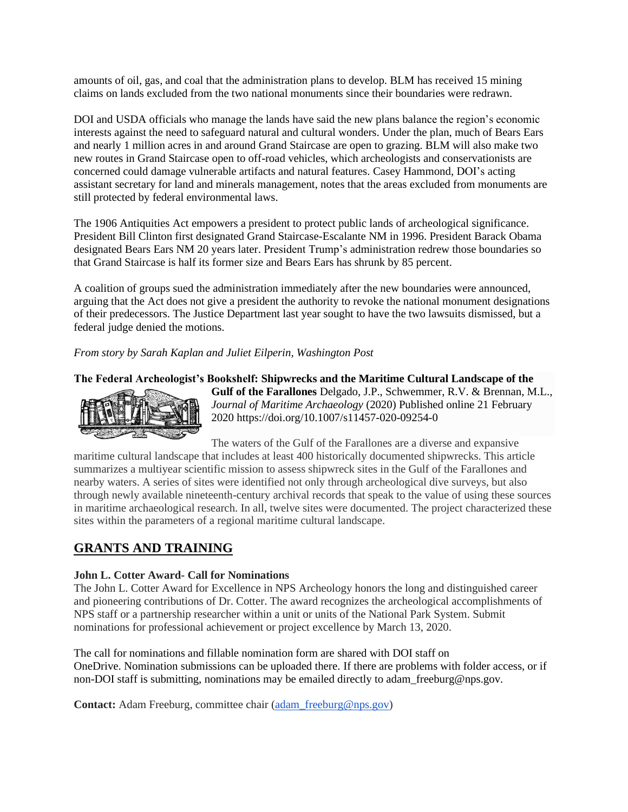amounts of oil, gas, and coal that the administration plans to develop. BLM has received 15 mining claims on lands excluded from the two national monuments since their boundaries were redrawn.

DOI and USDA officials who manage the lands have said the new plans balance the region's economic interests against the need to safeguard natural and cultural wonders. Under the plan, much of Bears Ears and nearly 1 million acres in and around Grand Staircase are open to grazing. BLM will also make two new routes in Grand Staircase open to off-road vehicles, which archeologists and conservationists are concerned could damage vulnerable artifacts and natural features. Casey Hammond, DOI's acting assistant secretary for land and minerals management, notes that the areas excluded from monuments are still protected by federal environmental laws.

The 1906 Antiquities Act empowers a president to protect public lands of archeological significance. President Bill Clinton first designated Grand Staircase-Escalante NM in 1996. President Barack Obama designated Bears Ears NM 20 years later. President Trump's administration redrew those boundaries so that Grand Staircase is half its former size and Bears Ears has shrunk by 85 percent.

A coalition of groups sued the administration immediately after the new boundaries were announced, arguing that the Act does not give a president the authority to revoke the national monument designations of their predecessors. The Justice Department last year sought to have the two lawsuits dismissed, but a federal judge denied the motions.

*From story by [Sarah Kaplan](https://www.washingtonpost.com/people/sarah-kaplan/) and [Juliet Eilperin,](https://www.washingtonpost.com/people/juliet-eilperin/) Washington Post*

### **The Federal Archeologist's Bookshelf: Shipwrecks and the Maritime Cultural Landscape of the**



**Gulf of the Farallones** Delgado, J.P., Schwemmer, R.V. & Brennan, M.L., *Journal of Maritime Archaeology* (2020) Published online 21 February 2020 https://doi.org/10.1007/s11457-020-09254-0

The waters of the Gulf of the Farallones are a diverse and expansive

maritime cultural landscape that includes at least 400 historically documented shipwrecks. This article summarizes a multiyear scientific mission to assess shipwreck sites in the Gulf of the Farallones and nearby waters. A series of sites were identified not only through archeological dive surveys, but also through newly available nineteenth-century archival records that speak to the value of using these sources in maritime archaeological research. In all, twelve sites were documented. The project characterized these sites within the parameters of a regional maritime cultural landscape.

# **GRANTS AND TRAINING**

### **John L. Cotter Award- Call for Nominations**

The John L. Cotter Award for Excellence in NPS Archeology honors the long and distinguished career and pioneering contributions of Dr. Cotter. The award recognizes the archeological accomplishments of NPS staff or a partnership researcher within a unit or units of the National Park System. Submit nominations for professional achievement or project excellence by March 13, 2020.

The call for nominations and fillable nomination form are shared with DOI staff on OneDrive. Nomination submissions can be uploaded there. If there are problems with folder access, or if non-DOI staff is submitting, nominations may be emailed directly to adam freeburg@nps.gov.

**Contact:** Adam Freeburg, committee chair [\(adam\\_freeburg@nps.gov\)](mailto:adam_freeburg@nps.gov)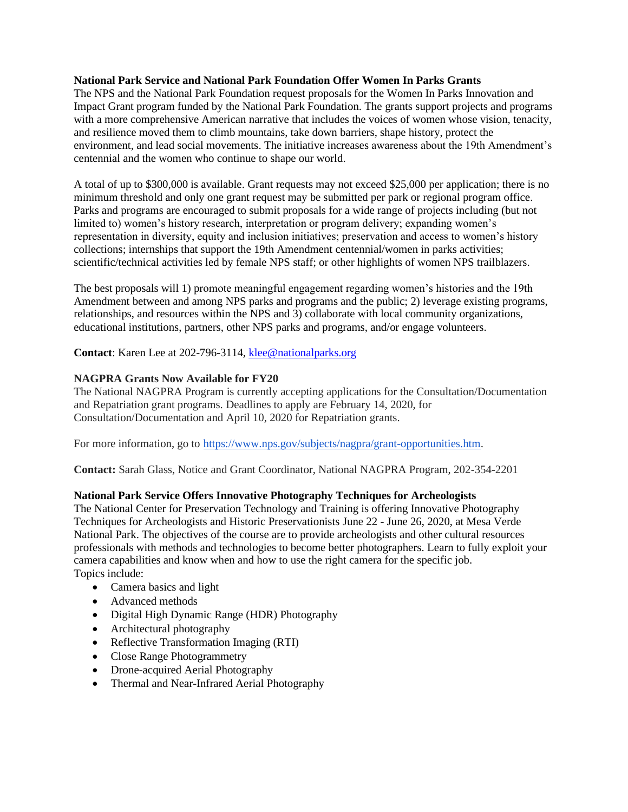### **National Park Service and National Park Foundation Offer Women In Parks Grants**

The NPS and the National Park Foundation request proposals for the Women In Parks Innovation and Impact Grant program funded by the National Park Foundation. The grants support projects and programs with a more comprehensive American narrative that includes the voices of women whose vision, tenacity, and resilience moved them to climb mountains, take down barriers, shape history, protect the environment, and lead social movements. The initiative increases awareness about the 19th Amendment's centennial and the women who continue to shape our world.

A total of up to \$300,000 is available. Grant requests may not exceed \$25,000 per application; there is no minimum threshold and only one grant request may be submitted per park or regional program office. Parks and programs are encouraged to submit proposals for a wide range of projects including (but not limited to) women's history research, interpretation or program delivery; expanding women's representation in diversity, equity and inclusion initiatives; preservation and access to women's history collections; internships that support the 19th Amendment centennial/women in parks activities; scientific/technical activities led by female NPS staff; or other highlights of women NPS trailblazers.

The best proposals will 1) promote meaningful engagement regarding women's histories and the 19th Amendment between and among NPS parks and programs and the public; 2) leverage existing programs, relationships, and resources within the NPS and 3) collaborate with local community organizations, educational institutions, partners, other NPS parks and programs, and/or engage volunteers.

**Contact**: Karen Lee at 202-796-3114, [klee@nationalparks.org](mailto:klee@nationalparks.org)

### **NAGPRA Grants Now Available for FY20**

The National NAGPRA Program is currently accepting applications for the Consultation/Documentation and Repatriation grant programs. Deadlines to apply are February 14, 2020, for Consultation/Documentation and April 10, 2020 for Repatriation grants.

For more information, go to [https://www.nps.gov/subjects/nagpra/grant-opportunities.htm.](https://www.nps.gov/subjects/nagpra/grant-opportunities.htm)

**Contact:** Sarah Glass, Notice and Grant Coordinator, National NAGPRA Program, 202-354-2201

### **National Park Service Offers Innovative Photography Techniques for Archeologists**

The National Center for Preservation Technology and Training is offering Innovative Photography Techniques for Archeologists and Historic Preservationists June 22 - June 26, 2020, at Mesa Verde National Park. The objectives of the course are to provide archeologists and other cultural resources professionals with methods and technologies to become better photographers. Learn to fully exploit your camera capabilities and know when and how to use the right camera for the specific job. Topics include:

- Camera basics and light
- Advanced methods
- Digital High Dynamic Range (HDR) Photography
- Architectural photography
- Reflective Transformation Imaging (RTI)
- Close Range Photogrammetry
- Drone-acquired Aerial Photography
- Thermal and Near-Infrared Aerial Photography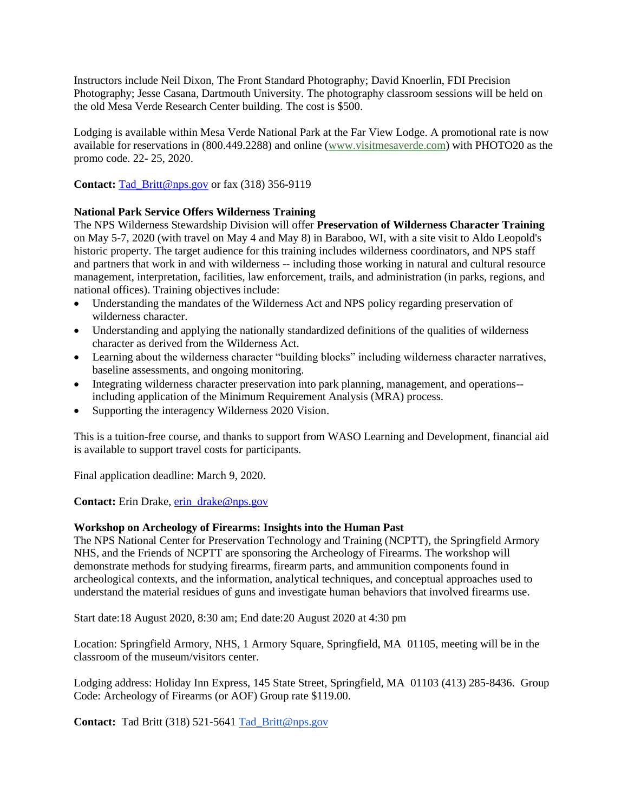Instructors include Neil Dixon, The Front Standard Photography; David Knoerlin, FDI Precision Photography; Jesse Casana, Dartmouth University. The photography classroom sessions will be held on the old Mesa Verde Research Center building. The cost is \$500.

Lodging is available within Mesa Verde National Park at the Far View Lodge. A promotional rate is now available for reservations in (800.449.2288) and online [\(www.visitmesaverde.com\)](http://r20.rs6.net/tn.jsp?f=001g8W0yWFCCYLlc9olyP9y1diea1vogEaqXRxPtCTV7n5kWO0EOgRItwBfnwY4EzMhbNqXJv5UheIXTOeB2oYENTXp0fiiQNuR6Qpb5E1uCkaTXbUxIsH7_JqocdfisIU0lfzn0-6L0K8gbedJO9jOrayWYmbGs4HLHBUVPw4pJHEtiE7beGeRiA==&c=aOxhWnX6IHk5YTqJ4G6-e3s64cjodyrygDO6U5BV-Arx28JnOZI3-Q==&ch=oD5ESG0bs_2R7Wrc8BLgRzg9LJ-pZ-3wlJNyDjzRJbrYlbecQb7vpw==) with PHOTO20 as the promo code. 22- 25, 2020.

**Contact:** [Tad\\_Britt@nps.gov](mailto:Tad_Britt@nps.gov) or fax (318) 356-9119

### **National Park Service Offers Wilderness Training**

The NPS Wilderness Stewardship Division will offer **Preservation of Wilderness Character Training**  on May 5-7, 2020 (with travel on May 4 and May 8) in Baraboo, WI, with a site visit to Aldo Leopold's historic property. The target audience for this training includes wilderness coordinators, and NPS staff and partners that work in and with wilderness -- including those working in natural and cultural resource management, interpretation, facilities, law enforcement, trails, and administration (in parks, regions, and national offices). Training objectives include:

- Understanding the mandates of the Wilderness Act and NPS policy regarding preservation of wilderness character.
- Understanding and applying the nationally standardized definitions of the qualities of wilderness character as derived from the Wilderness Act.
- Learning about the wilderness character "building blocks" including wilderness character narratives, baseline assessments, and ongoing monitoring.
- Integrating wilderness character preservation into park planning, management, and operations- including application of the Minimum Requirement Analysis (MRA) process.
- Supporting the interagency Wilderness 2020 Vision.

This is a tuition-free course, and thanks to support from WASO Learning and Development, financial aid is available to support travel costs for participants.

Final application deadline: March 9, 2020.

**Contact:** Erin Drake, [erin\\_drake@nps.gov](mailto:erin_drake@nps.gov)

### **Workshop on Archeology of Firearms: Insights into the Human Past**

The NPS National Center for Preservation Technology and Training (NCPTT), the Springfield Armory NHS, and the Friends of NCPTT are sponsoring the Archeology of Firearms. The workshop will demonstrate methods for studying firearms, firearm parts, and ammunition components found in archeological contexts, and the information, analytical techniques, and conceptual approaches used to understand the material residues of guns and investigate human behaviors that involved firearms use.

Start date:18 August 2020, 8:30 am; End date:20 August 2020 at 4:30 pm

Location: Springfield Armory, NHS, 1 Armory Square, Springfield, MA 01105, meeting will be in the classroom of the museum/visitors center.

Lodging address: Holiday Inn Express, 145 State Street, Springfield, MA 01103 (413) 285-8436. Group Code: Archeology of Firearms (or AOF) Group rate \$119.00.

**Contact:** Tad Britt (318) 521-5641 [Tad\\_Britt@nps.gov](http://r20.rs6.net/tn.jsp?f=00170xSefTfmpgTMKasOxJ4Vt_n7pdE6nNQaboelIWVImtr9K3UGNQLJms4MrLc39X6T9bR5WENhr4GJ4EN3fl1_nl81NUvZOYLwbIPgUmAXG7r8K7OE-LI9PyVwH4-aoc5Phol2ZTdv5qg2Z9VBjX8-_V37f1nrS4q32vJ8BMH0kpI9-iu1Jfm998CWcVTPdHgbdAnbi9HjSup8g63LcaqSskgMVfjOJxuBtcWWv4HLArcJquTslGGwDMg4dpoKXEa&c=vA4hii4_D--tex0gF8GAE1fgdX66tMMnyxhT7feuSOgCUVgM5K8N1w==&ch=kaZ93PVS6QPmzih4XlKTQh10cgvfCL1-Wb4cBTRjmwiZS1hDUuOL1A==)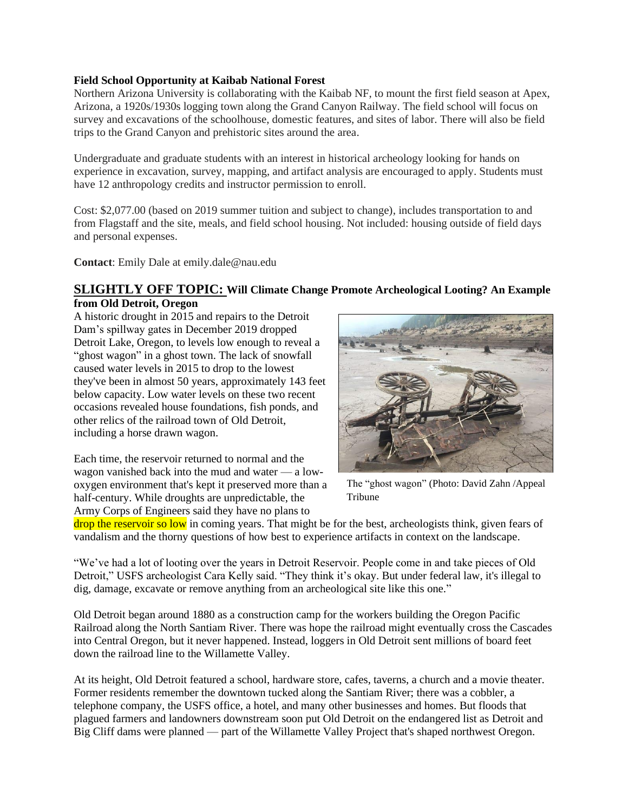### **Field School Opportunity at Kaibab National Forest**

Northern Arizona University is collaborating with the Kaibab NF, to mount the first field season at Apex, Arizona, a 1920s/1930s logging town along the Grand Canyon Railway. The field school will focus on survey and excavations of the schoolhouse, domestic features, and sites of labor. There will also be field trips to the Grand Canyon and prehistoric sites around the area.

Undergraduate and graduate students with an interest in historical archeology looking for hands on experience in excavation, survey, mapping, and artifact analysis are encouraged to apply. Students must have 12 anthropology credits and instructor permission to enroll.

Cost: \$2,077.00 (based on 2019 summer tuition and subject to change), includes transportation to and from Flagstaff and the site, meals, and field school housing. Not included: housing outside of field days and personal expenses.

**Contact**: Emily Dale at emily.dale@nau.edu

# **SLIGHTLY OFF TOPIC: Will Climate Change Promote Archeological Looting? An Example from Old Detroit, Oregon**

A historic drought in 2015 and repairs to the Detroit Dam's spillway gates in December 2019 dropped Detroit Lake, Oregon, to levels low enough to reveal a "ghost wagon" in a ghost town. The lack of snowfall caused water levels in 2015 to drop to the lowest they've been in almost 50 years, approximately 143 feet below capacity. Low water levels on these two recent occasions revealed house foundations, fish ponds, and other relics of the railroad town of Old Detroit, including a horse drawn wagon.

Each time, the reservoir returned to normal and the wagon vanished back into the mud and water — a lowoxygen environment that's kept it preserved more than a half-century. While droughts are unpredictable, the Army Corps of Engineers said they have no plans to



The "ghost wagon" (Photo: David Zahn /Appeal Tribune

drop the reservoir so low in coming years. That might be for the best, archeologists think, given fears of vandalism and the thorny questions of how best to experience artifacts in context on the landscape.

"We've had a lot of looting over the years in Detroit Reservoir. People come in and take pieces of Old Detroit," USFS archeologist Cara Kelly said. "They think it's okay. But under federal law, it's illegal to dig, damage, excavate or remove anything from an archeological site like this one."

Old Detroit began around 1880 as a construction camp for the workers building the Oregon Pacific Railroad along the North Santiam River. There was hope the railroad might eventually cross the Cascades into Central Oregon, but it never happened. Instead, loggers in Old Detroit sent millions of board feet down the railroad line to the Willamette Valley.

At its height, Old Detroit featured a school, hardware store, cafes, taverns, a church and a movie theater. Former residents remember the downtown tucked along the Santiam River; there was a cobbler, a telephone company, the USFS office, a hotel, and many other businesses and homes. But floods that plagued farmers and landowners downstream soon put Old Detroit on the endangered list as Detroit and Big Cliff dams were planned — part of the Willamette Valley Project that's shaped northwest Oregon.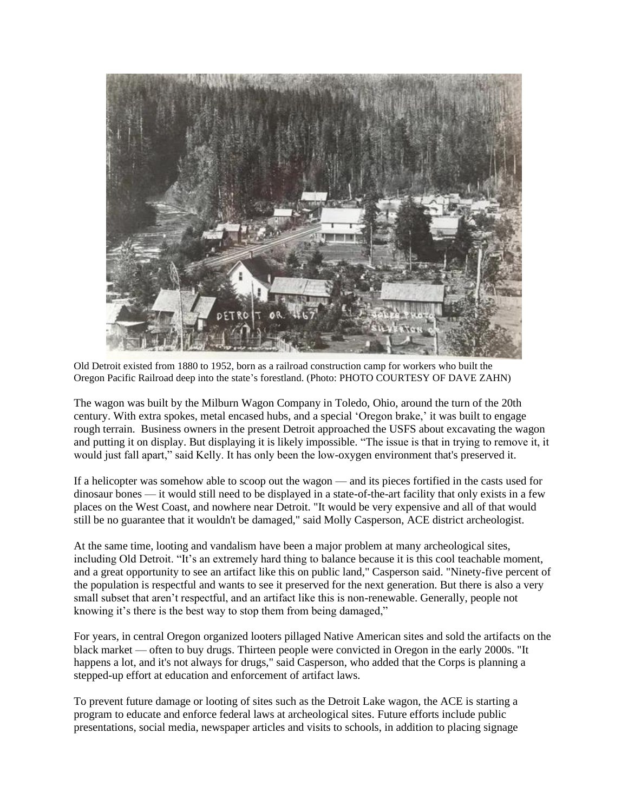

Old Detroit existed from 1880 to 1952, born as a railroad construction camp for workers who built the Oregon Pacific Railroad deep into the state's forestland. (Photo: PHOTO COURTESY OF DAVE ZAHN)

The wagon was built by the Milburn Wagon Company in Toledo, Ohio, around the turn of the 20th century. With extra spokes, metal encased hubs, and a special 'Oregon brake,' it was built to engage rough terrain. Business owners in the present Detroit approached the USFS about excavating the wagon and putting it on display. But displaying it is likely impossible. "The issue is that in trying to remove it, it would just fall apart," said Kelly. It has only been the low-oxygen environment that's preserved it.

If a helicopter was somehow able to scoop out the wagon — and its pieces fortified in the casts used for dinosaur bones — it would still need to be displayed in a state-of-the-art facility that only exists in a few places on the West Coast, and nowhere near Detroit. "It would be very expensive and all of that would still be no guarantee that it wouldn't be damaged," said Molly Casperson, ACE district archeologist.

At the same time, looting and vandalism have been a major problem at many archeological sites, including Old Detroit. "It's an extremely hard thing to balance because it is this cool teachable moment, and a great opportunity to see an artifact like this on public land," Casperson said. "Ninety-five percent of the population is respectful and wants to see it preserved for the next generation. But there is also a very small subset that aren't respectful, and an artifact like this is non-renewable. Generally, people not knowing it's there is the best way to stop them from being damaged,"

For years, in central Oregon organized looters pillaged Native American sites and sold the artifacts on the black market — often to buy drugs. Thirteen people were convicted in Oregon in the early 2000s. "It happens a lot, and it's not always for drugs," said Casperson, who added that the Corps is planning a stepped-up effort at education and enforcement of artifact laws.

To prevent future damage or looting of sites such as the Detroit Lake wagon, the ACE is starting a program to educate and enforce federal laws at archeological sites. Future efforts include public presentations, social media, newspaper articles and visits to schools, in addition to placing signage